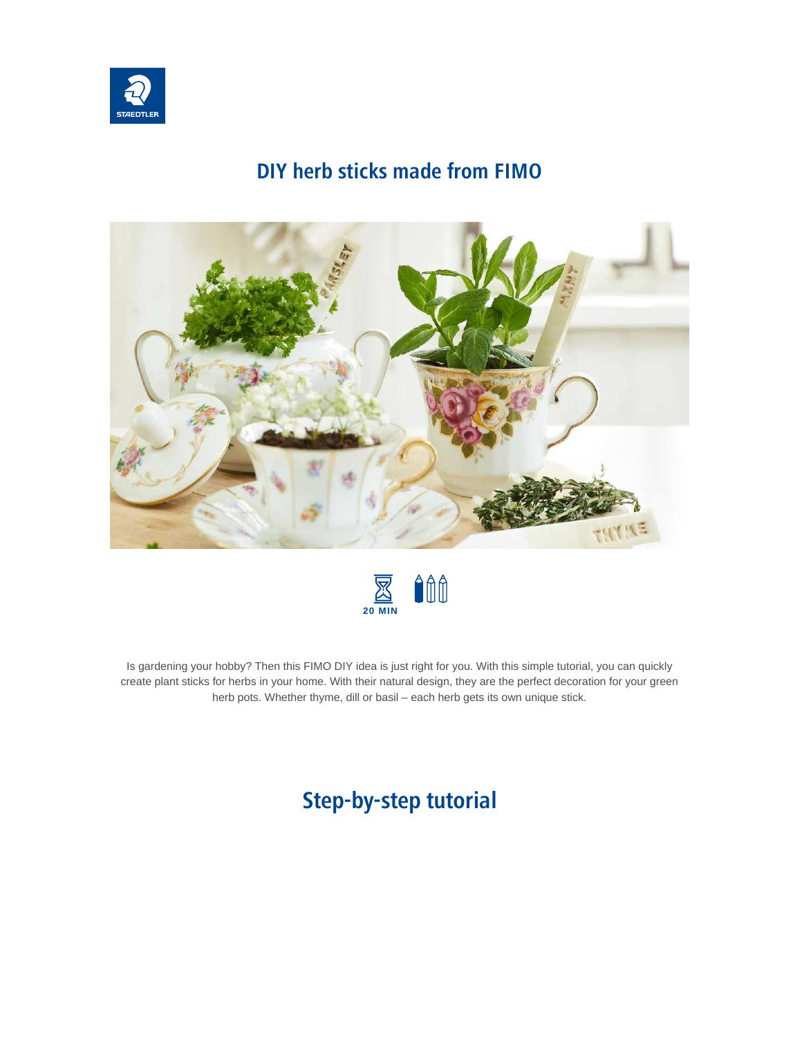

## **DIY herb sticks made from FIMO**





Is gardening your hobby? Then this FIMO DIY idea is just right for you. With this simple tutorial, you can quickly create plant sticks for herbs in your home. With their natural design, they are the perfect decoration for your green herb pots. Whether thyme, dill or basil – each herb gets its own unique stick.

## **Step-by-step tutorial**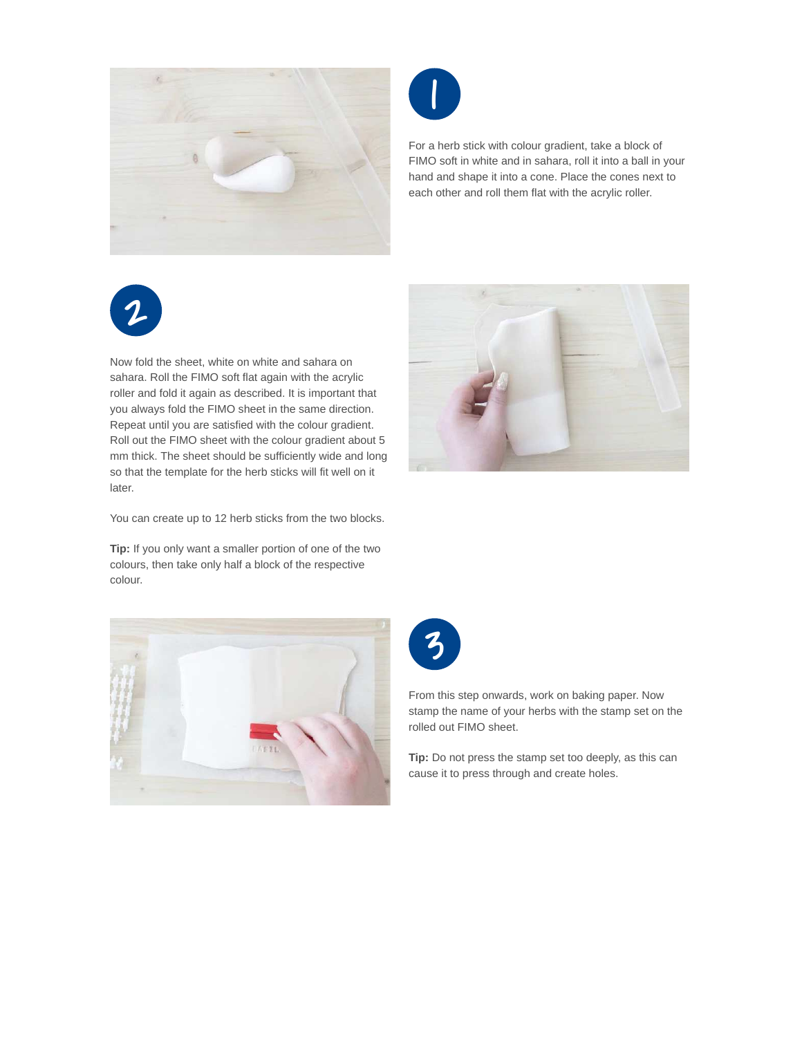



For a herb stick with colour gradient, take a block of FIMO soft in white and in sahara, roll it into a ball in your hand and shape it into a cone. Place the cones next to each other and roll them flat with the acrylic roller.



Now fold the sheet, white on white and sahara on sahara. Roll the FIMO soft flat again with the acrylic roller and fold it again as described. It is important that you always fold the FIMO sheet in the same direction. Repeat until you are satisfied with the colour gradient. Roll out the FIMO sheet with the colour gradient about 5 mm thick. The sheet should be sufficiently wide and long so that the template for the herb sticks will fit well on it later.



**Tip:** If you only want a smaller portion of one of the two colours, then take only half a block of the respective colour.







From this step onwards, work on baking paper. Now stamp the name of your herbs with the stamp set on the rolled out FIMO sheet.

**Tip:** Do not press the stamp set too deeply, as this can cause it to press through and create holes.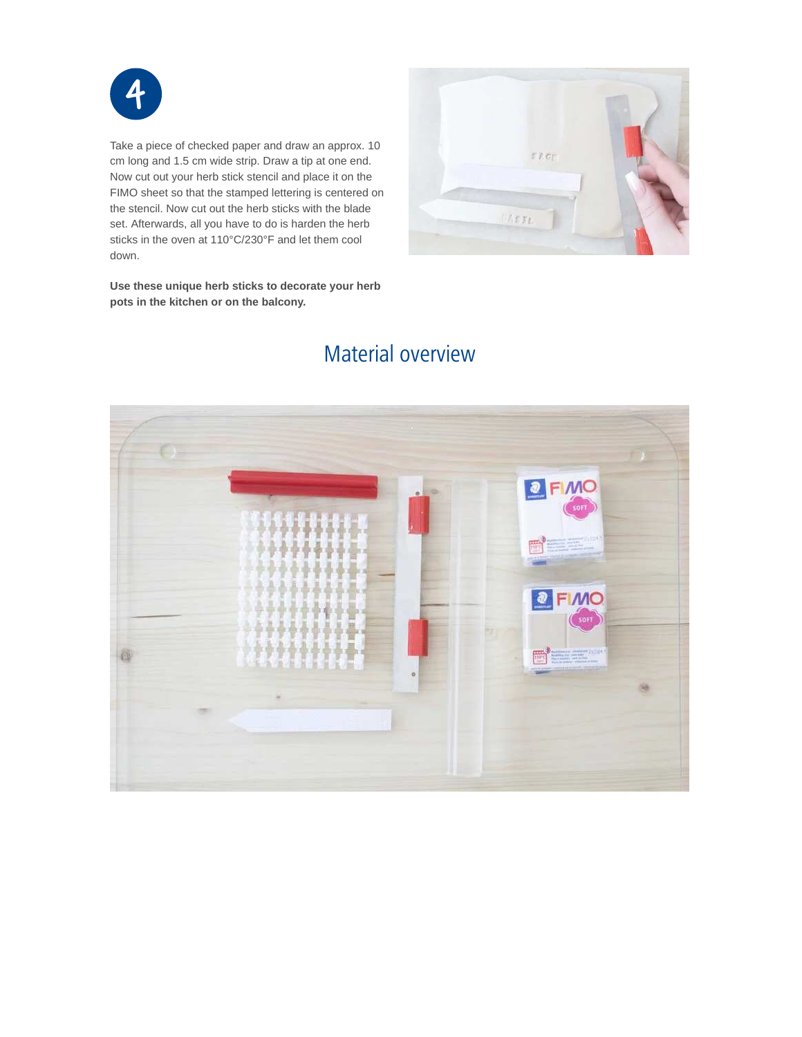

Take a piece of checked paper and draw an approx. 10 cm long and 1.5 cm wide strip. Draw a tip at one end. Now cut out your herb stick stencil and place it on the FIMO sheet so that the stamped lettering is centered on the stencil. Now cut out the herb sticks with the blade set. Afterwards, all you have to do is harden the herb sticks in the oven at 110°C/230°F and let them cool down.

**Use these unique herb sticks to decorate your herb pots in the kitchen or on the balcony.**



## Material overview